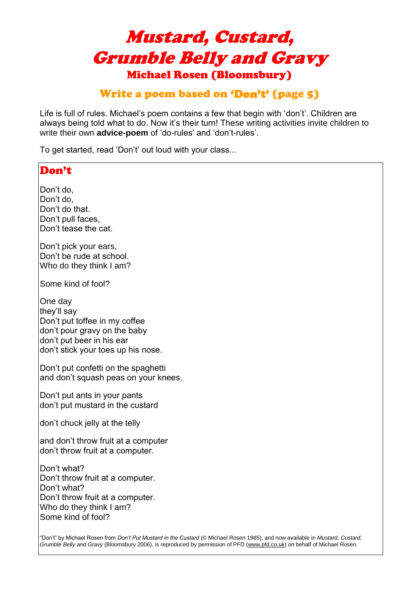# Mustard, Custard, Grumble Belly and Gravy Michael Rosen (Bloomsbury)

# Write a poem based on 'Don't' (page 5)

Life is full of rules. Michael's poem contains a few that begin with 'don't'. Children are always being told what to do. Now it's their turn! These writing activities invite children to write their own **advice-poem** of 'do-rules' and 'don't-rules'.

To get started, read 'Don't' out loud with your class...

# Don't Don't do, Don't do, Don't do that. Don't pull faces, Don't tease the cat. Don't pick your ears, Don't be rude at school. Who do they think I am? Some kind of fool? One day they'll say Don't put toffee in my coffee don't pour gravy on the baby don't put beer in his ear don't stick your toes up his nose. Don't put confetti on the spaghetti and don't squash peas on your knees. Don't put ants in your pants don't put mustard in the custard don't chuck jelly at the telly and don't throw fruit at a computer don't throw fruit at a computer. Don't what? Don't throw fruit at a computer. Don't what? Don't throw fruit at a computer. Who do they think I am? Some kind of fool? "Don't" by Michael Rosen from *Don't Put Mustard in the Custard* (© Michael Rosen 1985), and now available in *Mustard, Custard,*

*Grumble Belly and Gravy* (Bloomsbury 2006), is reproduced by permission of PFD (www.pfd.co.uk) on behalf of Michael Rosen.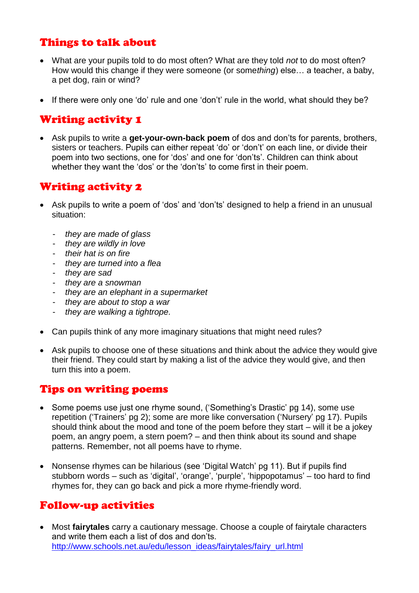### Things to talk about

- What are your pupils told to do most often? What are they told *not* to do most often? How would this change if they were someone (or some*thing*) else… a teacher, a baby, a pet dog, rain or wind?
- If there were only one 'do' rule and one 'don't' rule in the world, what should they be?

# Writing activity 1

• Ask pupils to write a **get-your-own-back poem** of dos and don'ts for parents, brothers, sisters or teachers. Pupils can either repeat 'do' or 'don't' on each line, or divide their poem into two sections, one for 'dos' and one for 'don'ts'. Children can think about whether they want the 'dos' or the 'don'ts' to come first in their poem.

# Writing activity 2

- Ask pupils to write a poem of 'dos' and 'don'ts' designed to help a friend in an unusual situation:
	- *they are made of glass*
	- *they are wildly in love*
	- *their hat is on fire*
	- *they are turned into a flea*
	- *they are sad*
	- *they are a snowman*
	- *they are an elephant in a supermarket*
	- *they are about to stop a war*
	- *they are walking a tightrope.*
- Can pupils think of any more imaginary situations that might need rules?
- Ask pupils to choose one of these situations and think about the advice they would give their friend. They could start by making a list of the advice they would give, and then turn this into a poem.

#### Tips on writing poems

- Some poems use just one rhyme sound, ('Something's Drastic' pg 14), some use repetition ('Trainers' pg 2); some are more like conversation ('Nursery' pg 17). Pupils should think about the mood and tone of the poem before they start – will it be a jokey poem, an angry poem, a stern poem? – and then think about its sound and shape patterns. Remember, not all poems have to rhyme.
- Nonsense rhymes can be hilarious (see 'Digital Watch' pg 11). But if pupils find stubborn words – such as 'digital', 'orange', 'purple', 'hippopotamus' – too hard to find rhymes for, they can go back and pick a more rhyme-friendly word.

### Follow-up activities

• Most **fairytales** carry a cautionary message. Choose a couple of fairytale characters and write them each a list of dos and don'ts. [http://www.schools.net.au/edu/lesson\\_ideas/fairytales/fairy\\_url.html](http://www.schools.net.au/edu/lesson_ideas/fairytales/fairy_url.html)